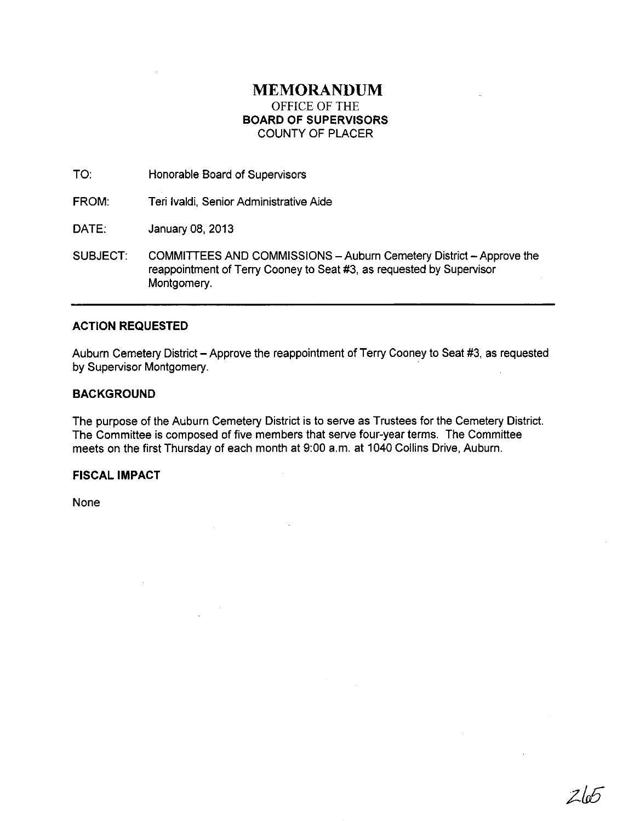# **MEMORANDUM**  OFFICE OF THE **BOARD OF SUPERVISORS**  COUNTY OF PLACER

TO: Honorable Board of Supervisors

FROM: Teri Ivaldi, Senior Administrative Aide

DATE: January 08, 2013

SUBJECT: COMMITTEES AND COMMISSIONS - Auburn Cemetery District - Approve the reappointment of Terry Cooney to Seat #3, as requested by Supervisor Montgomery.

# **ACTION REQUESTED**

Auburn Cemetery District - Approve the reappointment of Terry Cooney to Seat #3, as requested by Supervisor Montgomery.

# **BACKGROUND**

The purpose of the Auburn Cemetery District is to serve as Trustees for the Cemetery District. The Committee is composed of five members that serve four-year terms. The Committee meets on the first Thursday of each month at 9:00 a.m. at 1040 Collins Drive, Auburn.

### **FISCAL IMPACT**

None